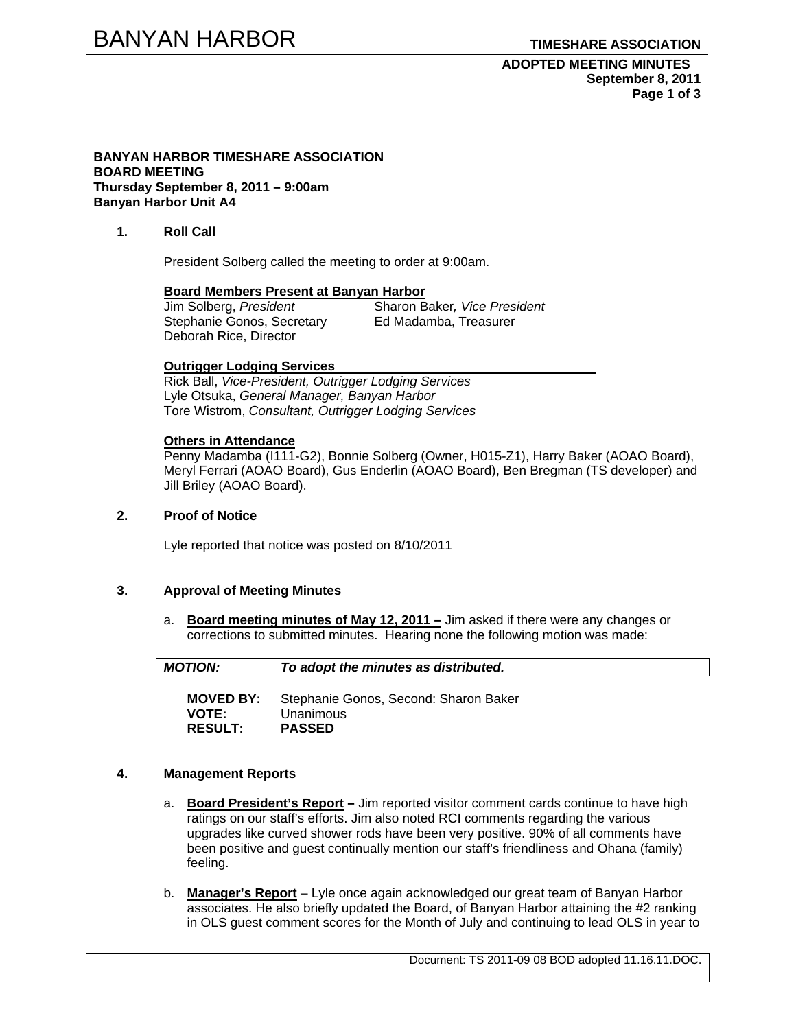## **ADOPTED MEETING MINUTES September 8, 2011 Page 1 of 3**

#### **BANYAN HARBOR TIMESHARE ASSOCIATION BOARD MEETING Thursday September 8, 2011 – 9:00am Banyan Harbor Unit A4**

## **1. Roll Call**

President Solberg called the meeting to order at 9:00am.

#### **Board Members Present at Banyan Harbor**

Jim Solberg, *President* Sharon Baker*, Vice President*  Stephanie Gonos, Secretary Deborah Rice, Director

#### **Outrigger Lodging Services**

Rick Ball, *Vice-President, Outrigger Lodging Services* Lyle Otsuka, *General Manager, Banyan Harbor*  Tore Wistrom, *Consultant, Outrigger Lodging Services* 

#### **Others in Attendance**

Penny Madamba (I111-G2), Bonnie Solberg (Owner, H015-Z1), Harry Baker (AOAO Board), Meryl Ferrari (AOAO Board), Gus Enderlin (AOAO Board), Ben Bregman (TS developer) and Jill Briley (AOAO Board).

## **2. Proof of Notice**

Lyle reported that notice was posted on 8/10/2011

#### **3. Approval of Meeting Minutes**

**RESULT: PASSED** 

a. **Board meeting minutes of May 12, 2011 –** Jim asked if there were any changes or corrections to submitted minutes. Hearing none the following motion was made:

| <b>MOTION:</b>   | To adopt the minutes as distributed.  |
|------------------|---------------------------------------|
| <b>MOVED BY:</b> | Stephanie Gonos, Second: Sharon Baker |
| <b>VOTE:</b>     | Unanimous                             |

#### **4. Management Reports**

- a. **Board President's Report** Jim reported visitor comment cards continue to have high ratings on our staff's efforts. Jim also noted RCI comments regarding the various upgrades like curved shower rods have been very positive. 90% of all comments have been positive and guest continually mention our staff's friendliness and Ohana (family) feeling.
- b. **Manager's Report** Lyle once again acknowledged our great team of Banyan Harbor associates. He also briefly updated the Board, of Banyan Harbor attaining the #2 ranking in OLS guest comment scores for the Month of July and continuing to lead OLS in year to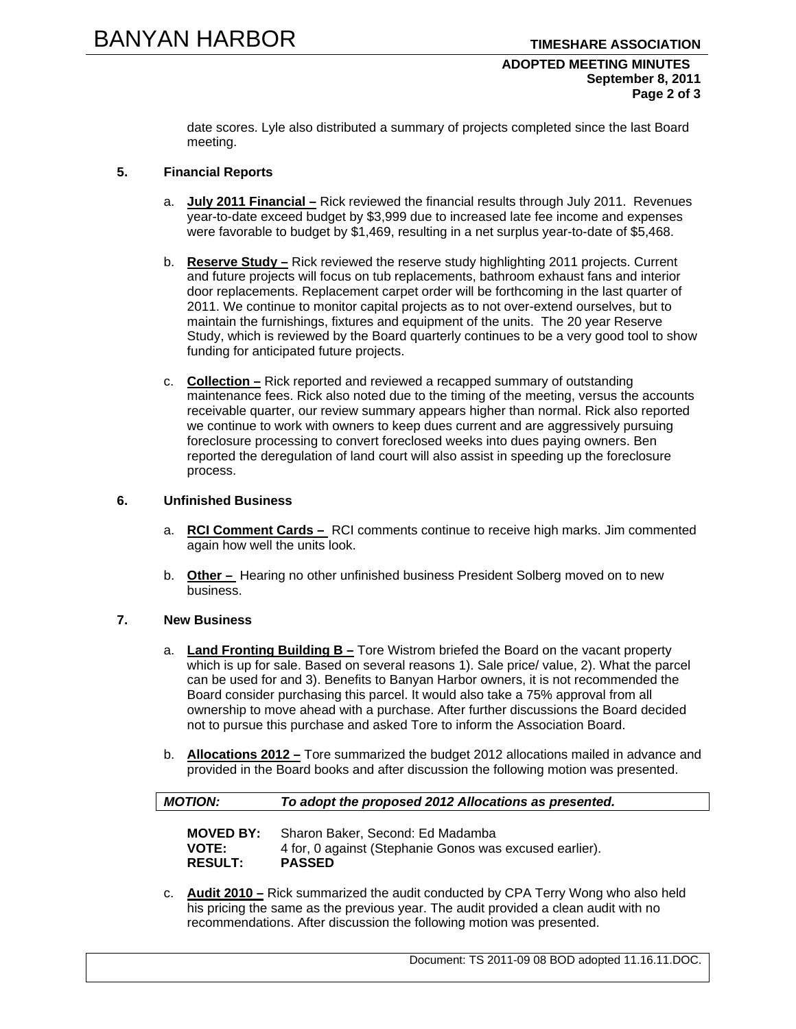## **ADOPTED MEETING MINUTES September 8, 2011 Page 2 of 3**

date scores. Lyle also distributed a summary of projects completed since the last Board meeting.

# **5. Financial Reports**

- a. **July 2011 Financial –** Rick reviewed the financial results through July 2011. Revenues year-to-date exceed budget by \$3,999 due to increased late fee income and expenses were favorable to budget by \$1,469, resulting in a net surplus year-to-date of \$5,468.
- b. **Reserve Study –** Rick reviewed the reserve study highlighting 2011 projects. Current and future projects will focus on tub replacements, bathroom exhaust fans and interior door replacements. Replacement carpet order will be forthcoming in the last quarter of 2011. We continue to monitor capital projects as to not over-extend ourselves, but to maintain the furnishings, fixtures and equipment of the units. The 20 year Reserve Study, which is reviewed by the Board quarterly continues to be a very good tool to show funding for anticipated future projects.
- c. **Collection –** Rick reported and reviewed a recapped summary of outstanding maintenance fees. Rick also noted due to the timing of the meeting, versus the accounts receivable quarter, our review summary appears higher than normal. Rick also reported we continue to work with owners to keep dues current and are aggressively pursuing foreclosure processing to convert foreclosed weeks into dues paying owners. Ben reported the deregulation of land court will also assist in speeding up the foreclosure process.

# **6. Unfinished Business**

- a. **RCI Comment Cards** RCI comments continue to receive high marks. Jim commented again how well the units look.
- b. **Other** Hearing no other unfinished business President Solberg moved on to new business.

#### **7. New Business**

- a. **Land Fronting Building B –** Tore Wistrom briefed the Board on the vacant property which is up for sale. Based on several reasons 1). Sale price/ value, 2). What the parcel can be used for and 3). Benefits to Banyan Harbor owners, it is not recommended the Board consider purchasing this parcel. It would also take a 75% approval from all ownership to move ahead with a purchase. After further discussions the Board decided not to pursue this purchase and asked Tore to inform the Association Board.
- b. **Allocations 2012 –** Tore summarized the budget 2012 allocations mailed in advance and provided in the Board books and after discussion the following motion was presented.

| <b>MOTION:</b>   | To adopt the proposed 2012 Allocations as presented.    |
|------------------|---------------------------------------------------------|
| <b>MOVED BY:</b> | Sharon Baker, Second: Ed Madamba                        |
| <b>VOTE:</b>     | 4 for, 0 against (Stephanie Gonos was excused earlier). |
| <b>RESULT:</b>   | <b>PASSED</b>                                           |

c. **Audit 2010 –** Rick summarized the audit conducted by CPA Terry Wong who also held his pricing the same as the previous year. The audit provided a clean audit with no recommendations. After discussion the following motion was presented.